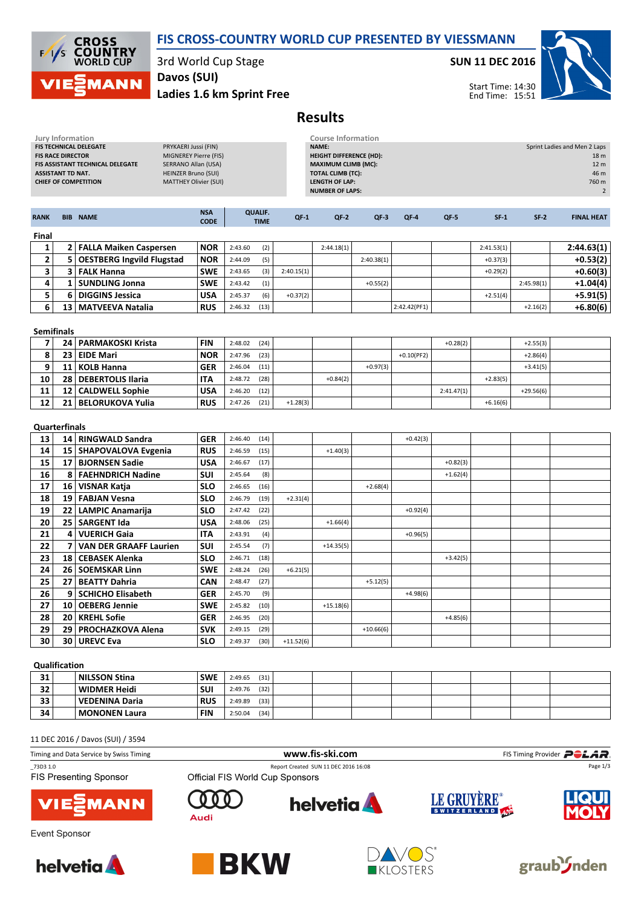

**CROSS<br>COUNTRY**<br>WORLD CUP  $1/s$ **MANN** 

3rd World Cup Stage

Ladies 1.6 km Sprint Free Davos (SUI)

SUN 11 DEC 2016



Start Time: 14:30 End Time: 15:51

## Results

| <b>Jury Information</b><br>FIS TECHNICAL DELEGATE<br>PRYKAERI Jussi (FIN)<br><b>FIS RACE DIRECTOR</b><br>MIGNEREY Pierre (FIS)<br>FIS ASSISTANT TECHNICAL DELEGATE<br><b>SERRANO Allan (USA)</b><br><b>ASSISTANT TD NAT.</b><br><b>HEINZER Bruno (SUI)</b><br><b>MATTHEY Olivier (SUI)</b><br><b>CHIEF OF COMPETITION</b> |                 |                                  |                           | <b>Course Information</b><br><b>NAME:</b><br><b>HEIGHT DIFFERENCE (HD):</b><br><b>MAXIMUM CLIMB (MC):</b><br><b>TOTAL CLIMB (TC):</b><br><b>LENGTH OF LAP:</b><br><b>NUMBER OF LAPS:</b> |                               |             |             |             |              | Sprint Ladies and Men 2 Laps<br>18 m<br>12 <sub>m</sub><br>46 m<br>760 m<br>$\overline{2}$ |            |             |                   |
|---------------------------------------------------------------------------------------------------------------------------------------------------------------------------------------------------------------------------------------------------------------------------------------------------------------------------|-----------------|----------------------------------|---------------------------|------------------------------------------------------------------------------------------------------------------------------------------------------------------------------------------|-------------------------------|-------------|-------------|-------------|--------------|--------------------------------------------------------------------------------------------|------------|-------------|-------------------|
| <b>RANK</b>                                                                                                                                                                                                                                                                                                               |                 | <b>BIB NAME</b>                  | <b>NSA</b><br><b>CODE</b> |                                                                                                                                                                                          | <b>QUALIF.</b><br><b>TIME</b> | $QF-1$      | $QF-2$      | $QF-3$      | $QF-4$       | $QF-5$                                                                                     | $SF-1$     | $SF-2$      | <b>FINAL HEAT</b> |
| Final                                                                                                                                                                                                                                                                                                                     |                 |                                  |                           |                                                                                                                                                                                          |                               |             |             |             |              |                                                                                            |            |             |                   |
| 1                                                                                                                                                                                                                                                                                                                         |                 | 2 FALLA Maiken Caspersen         | <b>NOR</b>                | 2:43.60                                                                                                                                                                                  | (2)                           |             | 2:44.18(1)  |             |              |                                                                                            | 2:41.53(1) |             | 2:44.63(1)        |
| $\mathbf{2}$                                                                                                                                                                                                                                                                                                              | 5 <sup>1</sup>  | <b>OESTBERG Ingvild Flugstad</b> | <b>NOR</b>                | 2:44.09                                                                                                                                                                                  | (5)                           |             |             | 2:40.38(1)  |              |                                                                                            | $+0.37(3)$ |             | $+0.53(2)$        |
| 3                                                                                                                                                                                                                                                                                                                         | 3               | <b>FALK Hanna</b>                | <b>SWE</b>                | 2:43.65                                                                                                                                                                                  | (3)                           | 2:40.15(1)  |             |             |              |                                                                                            | $+0.29(2)$ |             | $+0.60(3)$        |
| 4                                                                                                                                                                                                                                                                                                                         | $\mathbf{1}$    | <b>SUNDLING Jonna</b>            | <b>SWE</b>                | 2:43.42                                                                                                                                                                                  | (1)                           |             |             | $+0.55(2)$  |              |                                                                                            |            | 2:45.98(1)  | +1.04(4)          |
| 5                                                                                                                                                                                                                                                                                                                         | 6               | <b>DIGGINS Jessica</b>           | <b>USA</b>                | 2:45.37                                                                                                                                                                                  | (6)                           | $+0.37(2)$  |             |             |              |                                                                                            | $+2.51(4)$ |             | $+5.91(5)$        |
| 6                                                                                                                                                                                                                                                                                                                         |                 | 13   MATVEEVA Natalia            | <b>RUS</b>                | 2:46.32                                                                                                                                                                                  | (13)                          |             |             |             | 2:42.42(PF1) |                                                                                            |            | $+2.16(2)$  | $+6.80(6)$        |
| <b>Semifinals</b>                                                                                                                                                                                                                                                                                                         |                 |                                  |                           |                                                                                                                                                                                          |                               |             |             |             |              |                                                                                            |            |             |                   |
| $\overline{7}$                                                                                                                                                                                                                                                                                                            |                 | 24   PARMAKOSKI Krista           | <b>FIN</b>                | 2:48.02                                                                                                                                                                                  | (24)                          |             |             |             |              | $+0.28(2)$                                                                                 |            | $+2.55(3)$  |                   |
| 8                                                                                                                                                                                                                                                                                                                         | 23              | <b>EIDE Mari</b>                 | <b>NOR</b>                | 2:47.96                                                                                                                                                                                  | (23)                          |             |             |             | $+0.10(PF2)$ |                                                                                            |            | $+2.86(4)$  |                   |
| 9                                                                                                                                                                                                                                                                                                                         |                 | 11 KOLB Hanna                    | <b>GER</b>                | 2:46.04                                                                                                                                                                                  | (11)                          |             |             | $+0.97(3)$  |              |                                                                                            |            | $+3.41(5)$  |                   |
| 10                                                                                                                                                                                                                                                                                                                        | 28 <sup>1</sup> | <b>DEBERTOLIS Ilaria</b>         | <b>ITA</b>                | 2:48.72                                                                                                                                                                                  | (28)                          |             | $+0.84(2)$  |             |              |                                                                                            | $+2.83(5)$ |             |                   |
| 11                                                                                                                                                                                                                                                                                                                        | 12              | <b>CALDWELL Sophie</b>           | <b>USA</b>                | 2:46.20                                                                                                                                                                                  | (12)                          |             |             |             |              | 2:41.47(1)                                                                                 |            | $+29.56(6)$ |                   |
| 12                                                                                                                                                                                                                                                                                                                        | 21              | <b>BELORUKOVA Yulia</b>          | <b>RUS</b>                | 2:47.26                                                                                                                                                                                  | (21)                          | $+1.28(3)$  |             |             |              |                                                                                            | $+6.16(6)$ |             |                   |
| <b>Quarterfinals</b>                                                                                                                                                                                                                                                                                                      |                 |                                  |                           |                                                                                                                                                                                          |                               |             |             |             |              |                                                                                            |            |             |                   |
| 13                                                                                                                                                                                                                                                                                                                        |                 | 14   RINGWALD Sandra             | <b>GER</b>                | 2:46.40                                                                                                                                                                                  | (14)                          |             |             |             | $+0.42(3)$   |                                                                                            |            |             |                   |
| 14                                                                                                                                                                                                                                                                                                                        | 15 <sup>1</sup> | <b>SHAPOVALOVA Evgenia</b>       | <b>RUS</b>                | 2:46.59                                                                                                                                                                                  | (15)                          |             | $+1.40(3)$  |             |              |                                                                                            |            |             |                   |
| 15                                                                                                                                                                                                                                                                                                                        | 17              | <b>BJORNSEN Sadie</b>            | <b>USA</b>                | 2:46.67                                                                                                                                                                                  | (17)                          |             |             |             |              | $+0.82(3)$                                                                                 |            |             |                   |
| $\overline{16}$                                                                                                                                                                                                                                                                                                           | 8               | <b>FAEHNDRICH Nadine</b>         | SUI                       | 2:45.64                                                                                                                                                                                  | (8)                           |             |             |             |              | $+1.62(4)$                                                                                 |            |             |                   |
| 17                                                                                                                                                                                                                                                                                                                        | 16              | <b>VISNAR Katja</b>              | <b>SLO</b>                | 2:46.65                                                                                                                                                                                  | (16)                          |             |             | $+2.68(4)$  |              |                                                                                            |            |             |                   |
| 18                                                                                                                                                                                                                                                                                                                        | 19              | <b>FABJAN Vesna</b>              | <b>SLO</b>                | 2:46.79                                                                                                                                                                                  | (19)                          | $+2.31(4)$  |             |             |              |                                                                                            |            |             |                   |
| 19                                                                                                                                                                                                                                                                                                                        | 22              | <b>LAMPIC Anamarija</b>          | <b>SLO</b>                | 2:47.42                                                                                                                                                                                  | (22)                          |             |             |             | $+0.92(4)$   |                                                                                            |            |             |                   |
| 20                                                                                                                                                                                                                                                                                                                        | 25              | <b>SARGENT Ida</b>               | <b>USA</b>                | 2:48.06                                                                                                                                                                                  | (25)                          |             | $+1.66(4)$  |             |              |                                                                                            |            |             |                   |
| 21                                                                                                                                                                                                                                                                                                                        | 4               | <b>VUERICH Gaia</b>              | <b>ITA</b>                | 2:43.91                                                                                                                                                                                  | (4)                           |             |             |             | $+0.96(5)$   |                                                                                            |            |             |                   |
| 22                                                                                                                                                                                                                                                                                                                        | 7               | <b>VAN DER GRAAFF Laurien</b>    | SUI                       | 2:45.54                                                                                                                                                                                  | (7)                           |             | $+14.35(5)$ |             |              |                                                                                            |            |             |                   |
| 23                                                                                                                                                                                                                                                                                                                        | 18              | <b>CEBASEK Alenka</b>            | <b>SLO</b>                | 2:46.71                                                                                                                                                                                  | (18)                          |             |             |             |              | $+3.42(5)$                                                                                 |            |             |                   |
| 24                                                                                                                                                                                                                                                                                                                        | 26              | <b>SOEMSKAR Linn</b>             | <b>SWE</b>                | 2:48.24                                                                                                                                                                                  | (26)                          | $+6.21(5)$  |             |             |              |                                                                                            |            |             |                   |
| 25                                                                                                                                                                                                                                                                                                                        | 27              | <b>BEATTY Dahria</b>             | <b>CAN</b>                | 2:48.47                                                                                                                                                                                  | (27)                          |             |             | $+5.12(5)$  |              |                                                                                            |            |             |                   |
| 26                                                                                                                                                                                                                                                                                                                        | 9               | <b>SCHICHO Elisabeth</b>         | <b>GER</b>                | 2:45.70                                                                                                                                                                                  | (9)                           |             |             |             | $+4.98(6)$   |                                                                                            |            |             |                   |
| 27                                                                                                                                                                                                                                                                                                                        | 10              | <b>OEBERG Jennie</b>             | <b>SWE</b>                | 2:45.82                                                                                                                                                                                  | (10)                          |             | $+15.18(6)$ |             |              |                                                                                            |            |             |                   |
| 28                                                                                                                                                                                                                                                                                                                        |                 | 20   KREHL Sofie                 | <b>GER</b>                | 2:46.95                                                                                                                                                                                  | (20)                          |             |             |             |              | $+4.85(6)$                                                                                 |            |             |                   |
| 29                                                                                                                                                                                                                                                                                                                        | 29              | PROCHAZKOVA Alena                | <b>SVK</b>                | 2:49.15                                                                                                                                                                                  | (29)                          |             |             | $+10.66(6)$ |              |                                                                                            |            |             |                   |
| 30                                                                                                                                                                                                                                                                                                                        | 30 <sup>1</sup> | <b>UREVC Eva</b>                 | <b>SLO</b>                | 2:49.37                                                                                                                                                                                  | (30)                          | $+11.52(6)$ |             |             |              |                                                                                            |            |             |                   |
| $O(1)$ $\leq$ $\leq$ $\leq$ $\leq$ $\leq$ $\leq$ $\leq$                                                                                                                                                                                                                                                                   |                 |                                  |                           |                                                                                                                                                                                          |                               |             |             |             |              |                                                                                            |            |             |                   |

## Qualification

| 31 | NILSSON Stina        | <b>SWE</b> | (31)<br>2:49.65 |  |  |  |  |
|----|----------------------|------------|-----------------|--|--|--|--|
| 32 | WIDMER Heidi!        | <b>SUI</b> | (32)<br>2:49.76 |  |  |  |  |
| 33 | VEDENINA Daria       | <b>RUS</b> | (33)<br>2:49.89 |  |  |  |  |
| 34 | <b>MONONEN Laura</b> | <b>FIN</b> | (34)<br>2:50.04 |  |  |  |  |

11 DEC 2016 / Davos (SUI) / 3594

| Timing and Data Service by Swiss Timing   |                                 | www.fis-ski.com                      |             | FIS Timing Provider <b>POLAR</b> . |  |  |
|-------------------------------------------|---------------------------------|--------------------------------------|-------------|------------------------------------|--|--|
| 73D3 1.0<br><b>FIS Presenting Sponsor</b> | Official FIS World Cup Sponsors | Report Created SUN 11 DEC 2016 16:08 |             | Page 1/3                           |  |  |
| VIEZMANN                                  | Audi                            | <b>helvetia</b>                      | LE GRUYÈRE® | <b>LIQUI</b>                       |  |  |
| Event Sponsor                             |                                 |                                      |             |                                    |  |  |









graub<sup>3</sup>/nden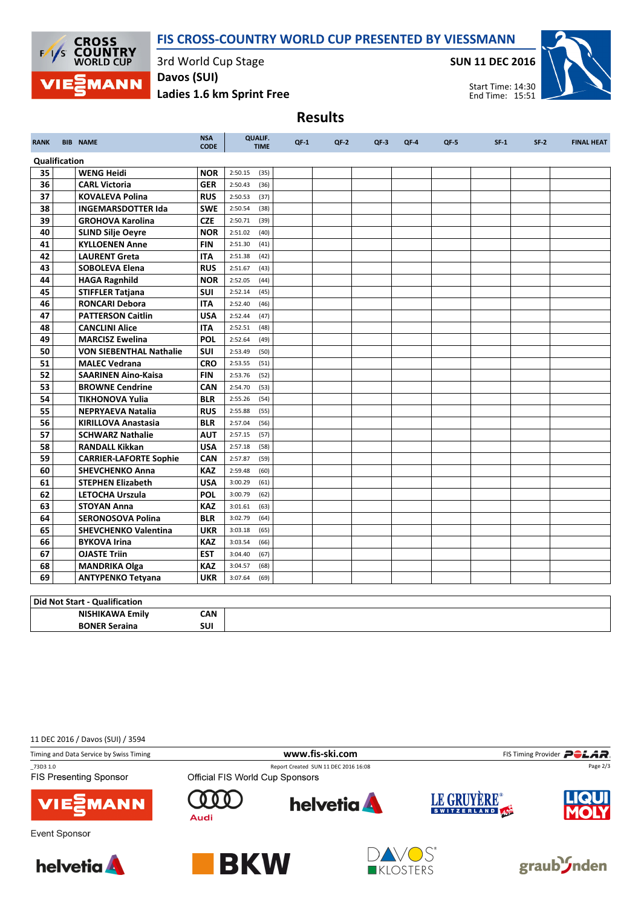



3rd World Cup Stage

Davos (SUI)

SUN 11 DEC 2016



T

Start Time: 14:30 End Time: 15:51

Т

Т

Ladies 1.6 km Sprint Free Results RANK BIB NAME NEWSALE CONTROL QUALIF. TIME QF-1 QF-2 QF-3 QF-4 QF-5 SF-1 SF-2 FINAL HEAT CODE Qualification<br>35 WENG Heidi  $NOR$  2:50.15 (35) ┱ Т ٦

| -- | ,,,,,,,,,,,,,                  |            |         | $\sim$ |  |  |  |  |
|----|--------------------------------|------------|---------|--------|--|--|--|--|
| 36 | <b>CARL Victoria</b>           | <b>GER</b> | 2:50.43 | (36)   |  |  |  |  |
| 37 | <b>KOVALEVA Polina</b>         | <b>RUS</b> | 2:50.53 | (37)   |  |  |  |  |
| 38 | <b>INGEMARSDOTTER Ida</b>      | <b>SWE</b> | 2:50.54 | (38)   |  |  |  |  |
| 39 | <b>GROHOVA Karolina</b>        | <b>CZE</b> | 2:50.71 | (39)   |  |  |  |  |
| 40 | <b>SLIND Silje Oeyre</b>       | <b>NOR</b> | 2:51.02 | (40)   |  |  |  |  |
| 41 | <b>KYLLOENEN Anne</b>          | <b>FIN</b> | 2:51.30 | (41)   |  |  |  |  |
| 42 | <b>LAURENT Greta</b>           | <b>ITA</b> | 2:51.38 | (42)   |  |  |  |  |
| 43 | <b>SOBOLEVA Elena</b>          | <b>RUS</b> | 2:51.67 | (43)   |  |  |  |  |
| 44 | <b>HAGA Ragnhild</b>           | <b>NOR</b> | 2:52.05 | (44)   |  |  |  |  |
| 45 | <b>STIFFLER Tatjana</b>        | <b>SUI</b> | 2:52.14 | (45)   |  |  |  |  |
| 46 | <b>RONCARI Debora</b>          | <b>ITA</b> | 2:52.40 | (46)   |  |  |  |  |
| 47 | <b>PATTERSON Caitlin</b>       | <b>USA</b> | 2:52.44 | (47)   |  |  |  |  |
| 48 | <b>CANCLINI Alice</b>          | <b>ITA</b> | 2:52.51 | (48)   |  |  |  |  |
| 49 | <b>MARCISZ Ewelina</b>         | POL        | 2:52.64 | (49)   |  |  |  |  |
| 50 | <b>VON SIEBENTHAL Nathalie</b> | <b>SUI</b> | 2:53.49 | (50)   |  |  |  |  |
| 51 | <b>MALEC Vedrana</b>           | <b>CRO</b> | 2:53.55 | (51)   |  |  |  |  |
| 52 | <b>SAARINEN Aino-Kaisa</b>     | <b>FIN</b> | 2:53.76 | (52)   |  |  |  |  |
| 53 | <b>BROWNE Cendrine</b>         | CAN        | 2:54.70 | (53)   |  |  |  |  |
| 54 | <b>TIKHONOVA Yulia</b>         | <b>BLR</b> | 2:55.26 | (54)   |  |  |  |  |
| 55 | <b>NEPRYAEVA Natalia</b>       | <b>RUS</b> | 2:55.88 | (55)   |  |  |  |  |
| 56 | <b>KIRILLOVA Anastasia</b>     | <b>BLR</b> | 2:57.04 | (56)   |  |  |  |  |
| 57 | <b>SCHWARZ Nathalie</b>        | <b>AUT</b> | 2:57.15 | (57)   |  |  |  |  |
| 58 | <b>RANDALL Kikkan</b>          | <b>USA</b> | 2:57.18 | (58)   |  |  |  |  |
| 59 | <b>CARRIER-LAFORTE Sophie</b>  | <b>CAN</b> | 2:57.87 | (59)   |  |  |  |  |
| 60 | <b>SHEVCHENKO Anna</b>         | <b>KAZ</b> | 2:59.48 | (60)   |  |  |  |  |
| 61 | <b>STEPHEN Elizabeth</b>       | <b>USA</b> | 3:00.29 | (61)   |  |  |  |  |
| 62 | <b>LETOCHA Urszula</b>         | <b>POL</b> | 3:00.79 | (62)   |  |  |  |  |
| 63 | <b>STOYAN Anna</b>             | <b>KAZ</b> | 3:01.61 | (63)   |  |  |  |  |
| 64 | <b>SERONOSOVA Polina</b>       | <b>BLR</b> | 3:02.79 | (64)   |  |  |  |  |
| 65 | <b>SHEVCHENKO Valentina</b>    | <b>UKR</b> | 3:03.18 | (65)   |  |  |  |  |
| 66 | <b>BYKOVA Irina</b>            | <b>KAZ</b> | 3:03.54 | (66)   |  |  |  |  |
| 67 | <b>OJASTE Triin</b>            | <b>EST</b> | 3:04.40 | (67)   |  |  |  |  |
| 68 | <b>MANDRIKA Olga</b>           | <b>KAZ</b> | 3:04.57 | (68)   |  |  |  |  |
| 69 | <b>ANTYPENKO Tetyana</b>       | <b>UKR</b> | 3:07.64 | (69)   |  |  |  |  |

## Did Not Start - Qualification

| ∣ Diu N∪ι Jiai ι<br>' Oudlilludulul |                   |  |
|-------------------------------------|-------------------|--|
| -NIC                                | <b>CAN</b><br>.   |  |
| <b>RONF</b><br>raina<br>---------   | <b>SUI</b><br>___ |  |

11 DEC 2016 / Davos (SUI) / 3594

| Timing and Data Service by Swiss Timing   |                                 | www.fis-ski.com                      | FIS Timing Provider <b>POLAR</b> |              |  |
|-------------------------------------------|---------------------------------|--------------------------------------|----------------------------------|--------------|--|
| 73D3 1.0<br><b>FIS Presenting Sponsor</b> | Official FIS World Cup Sponsors | Report Created SUN 11 DEC 2016 16:08 |                                  | Page 2/3     |  |
| <b>VIESMANN</b>                           | Audi                            | <b>helvetia</b>                      | LE GRUYÈRE®                      | <b>LIQUI</b> |  |











graub<sup>S</sup>nden